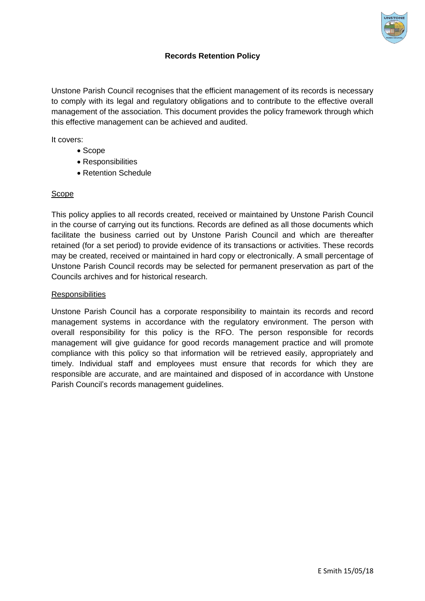

## **Records Retention Policy**

Unstone Parish Council recognises that the efficient management of its records is necessary to comply with its legal and regulatory obligations and to contribute to the effective overall management of the association. This document provides the policy framework through which this effective management can be achieved and audited.

It covers:

- Scope
- Responsibilities
- Retention Schedule

## Scope

This policy applies to all records created, received or maintained by Unstone Parish Council in the course of carrying out its functions. Records are defined as all those documents which facilitate the business carried out by Unstone Parish Council and which are thereafter retained (for a set period) to provide evidence of its transactions or activities. These records may be created, received or maintained in hard copy or electronically. A small percentage of Unstone Parish Council records may be selected for permanent preservation as part of the Councils archives and for historical research.

## **Responsibilities**

Unstone Parish Council has a corporate responsibility to maintain its records and record management systems in accordance with the regulatory environment. The person with overall responsibility for this policy is the RFO. The person responsible for records management will give guidance for good records management practice and will promote compliance with this policy so that information will be retrieved easily, appropriately and timely. Individual staff and employees must ensure that records for which they are responsible are accurate, and are maintained and disposed of in accordance with Unstone Parish Council's records management guidelines.